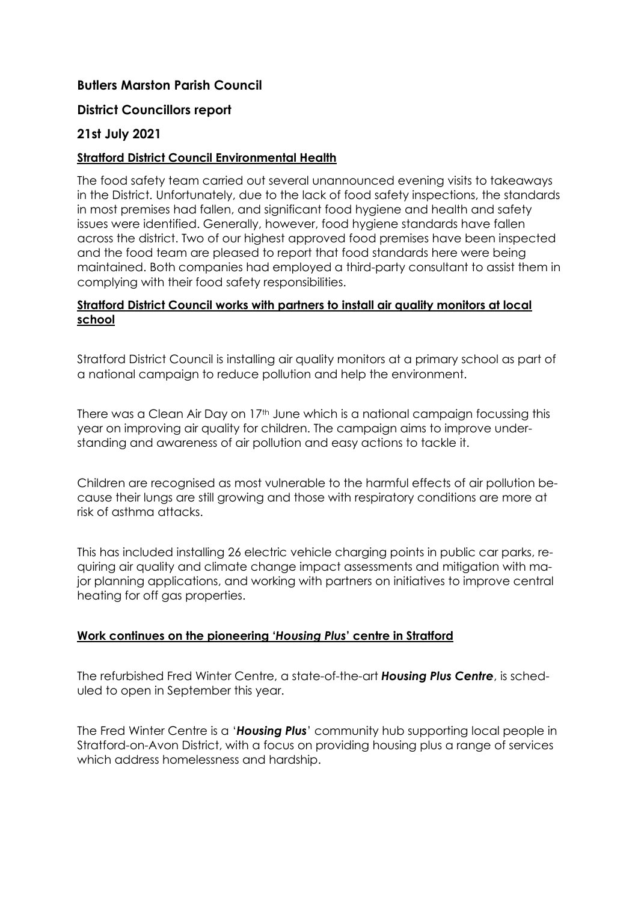# **Butlers Marston Parish Council**

# **District Councillors report**

# **21st July 2021**

### **Stratford District Council Environmental Health**

The food safety team carried out several unannounced evening visits to takeaways in the District. Unfortunately, due to the lack of food safety inspections, the standards in most premises had fallen, and significant food hygiene and health and safety issues were identified. Generally, however, food hygiene standards have fallen across the district. Two of our highest approved food premises have been inspected and the food team are pleased to report that food standards here were being maintained. Both companies had employed a third-party consultant to assist them in complying with their food safety responsibilities.

## **Stratford District Council works with partners to install air quality monitors at local school**

Stratford District Council is installing air quality monitors at a primary school as part of a national campaign to reduce pollution and help the environment.

There was a Clean Air Day on 17<sup>th</sup> June which is a national campaign focussing this year on improving air quality for children. The campaign aims to improve understanding and awareness of air pollution and easy actions to tackle it.

Children are recognised as most vulnerable to the harmful effects of air pollution because their lungs are still growing and those with respiratory conditions are more at risk of asthma attacks.

This has included installing 26 electric vehicle charging points in public car parks, requiring air quality and climate change impact assessments and mitigation with major planning applications, and working with partners on initiatives to improve central heating for off gas properties.

## **Work continues on the pioneering '***Housing Plus***' centre in Stratford**

The refurbished Fred Winter Centre, a state-of-the-art *Housing Plus Centre*, is scheduled to open in September this year.

The Fred Winter Centre is a '*Housing Plus*' community hub supporting local people in Stratford-on-Avon District, with a focus on providing housing plus a range of services which address homelessness and hardship.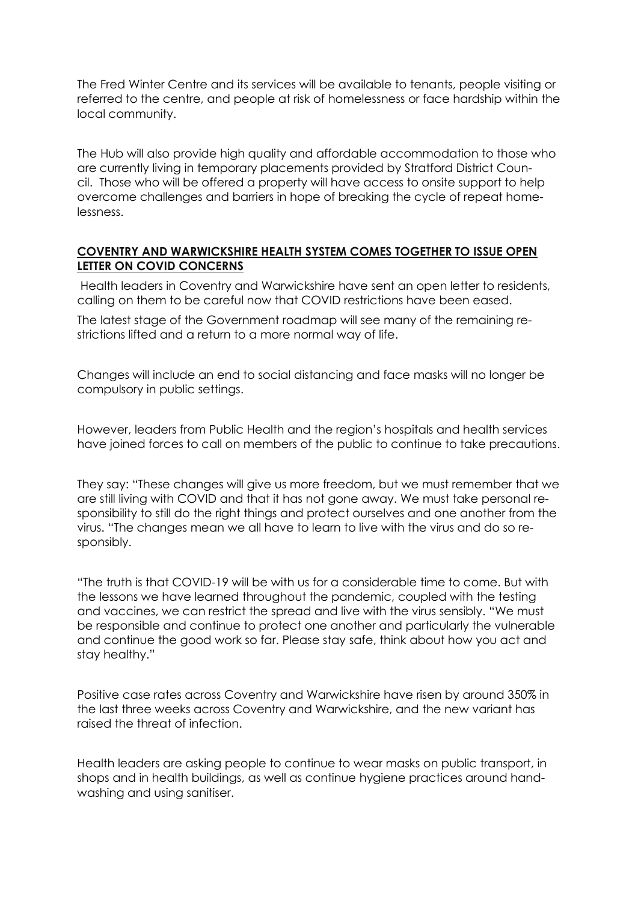The Fred Winter Centre and its services will be available to tenants, people visiting or referred to the centre, and people at risk of homelessness or face hardship within the local community.

The Hub will also provide high quality and affordable accommodation to those who are currently living in temporary placements provided by Stratford District Council. Those who will be offered a property will have access to onsite support to help overcome challenges and barriers in hope of breaking the cycle of repeat homelessness.

### **COVENTRY AND WARWICKSHIRE HEALTH SYSTEM COMES TOGETHER TO ISSUE OPEN LETTER ON COVID CONCERNS**

Health leaders in Coventry and Warwickshire have sent an open letter to residents, calling on them to be careful now that COVID restrictions have been eased.

The latest stage of the Government roadmap will see many of the remaining restrictions lifted and a return to a more normal way of life.

Changes will include an end to social distancing and face masks will no longer be compulsory in public settings.

However, leaders from Public Health and the region's hospitals and health services have joined forces to call on members of the public to continue to take precautions.

They say: "These changes will give us more freedom, but we must remember that we are still living with COVID and that it has not gone away. We must take personal responsibility to still do the right things and protect ourselves and one another from the virus. "The changes mean we all have to learn to live with the virus and do so responsibly.

"The truth is that COVID-19 will be with us for a considerable time to come. But with the lessons we have learned throughout the pandemic, coupled with the testing and vaccines, we can restrict the spread and live with the virus sensibly. "We must be responsible and continue to protect one another and particularly the vulnerable and continue the good work so far. Please stay safe, think about how you act and stay healthy."

Positive case rates across Coventry and Warwickshire have risen by around 350% in the last three weeks across Coventry and Warwickshire, and the new variant has raised the threat of infection.

Health leaders are asking people to continue to wear masks on public transport, in shops and in health buildings, as well as continue hygiene practices around handwashing and using sanitiser.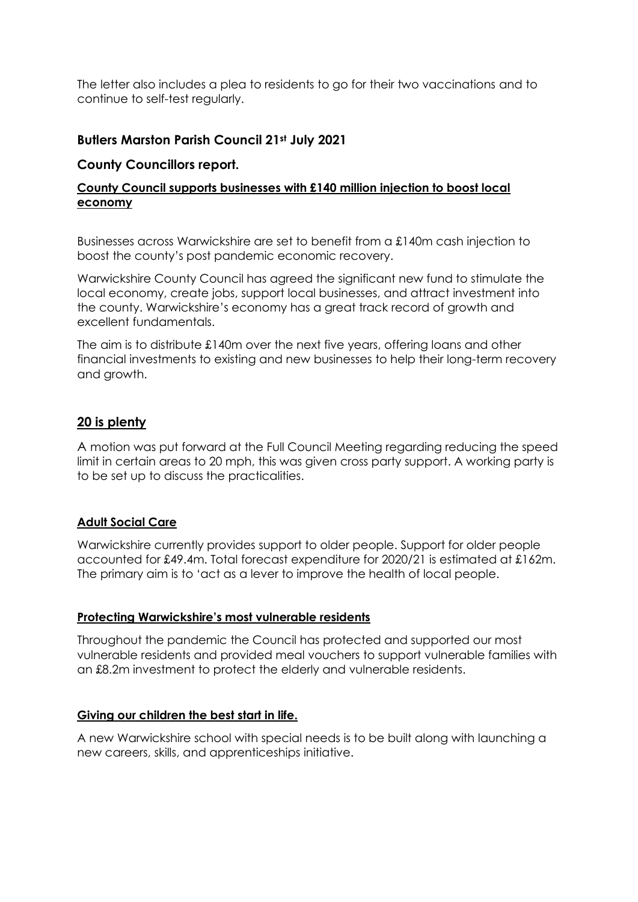The letter also includes a plea to residents to go for their two vaccinations and to continue to self-test regularly.

# **Butlers Marston Parish Council 21st July 2021**

### **County Councillors report.**

### **County Council supports businesses with £140 million injection to boost local economy**

Businesses across Warwickshire are set to benefit from a £140m cash injection to boost the county's post pandemic economic recovery.

Warwickshire County Council has agreed the significant new fund to stimulate the local economy, create jobs, support local businesses, and attract investment into the county. Warwickshire's economy has a great track record of growth and excellent fundamentals.

The aim is to distribute £140m over the next five years, offering loans and other financial investments to existing and new businesses to help their long-term recovery and growth.

## **20 is plenty**

A motion was put forward at the Full Council Meeting regarding reducing the speed limit in certain areas to 20 mph, this was given cross party support. A working party is to be set up to discuss the practicalities.

#### **Adult Social Care**

Warwickshire currently provides support to older people. Support for older people accounted for £49.4m. Total forecast expenditure for 2020/21 is estimated at £162m. The primary aim is to 'act as a lever to improve the health of local people.

#### **Protecting Warwickshire's most vulnerable residents**

Throughout the pandemic the Council has protected and supported our most vulnerable residents and provided meal vouchers to support vulnerable families with an £8.2m investment to protect the elderly and vulnerable residents.

## **Giving our children the best start in life.**

A new Warwickshire school with special needs is to be built along with launching a new careers, skills, and apprenticeships initiative.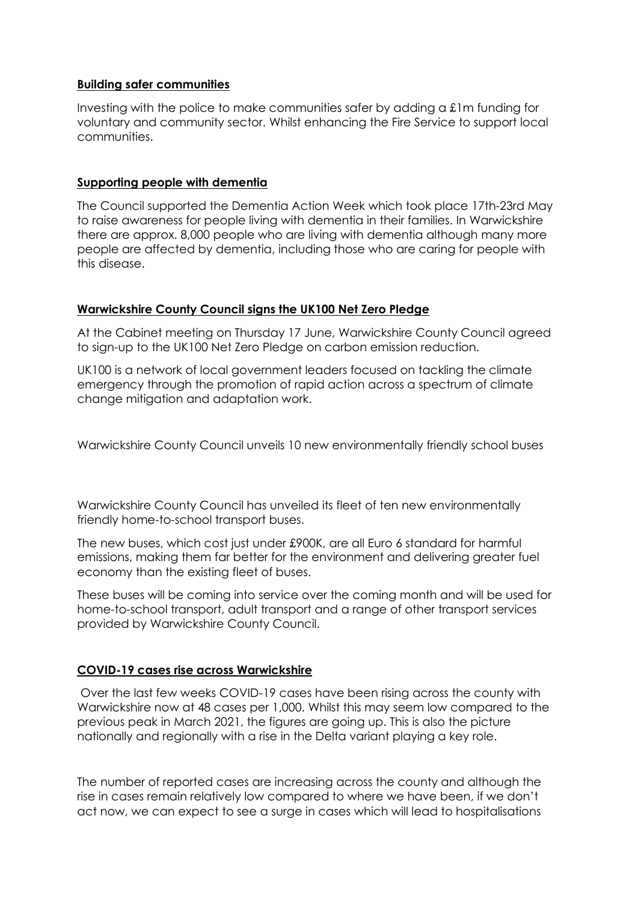### **Building safer communities**

Investing with the police to make communities safer by adding a £1m funding for voluntary and community sector. Whilst enhancing the Fire Service to support local communities.

#### **Supporting people with dementia**

The Council supported the Dementia Action Week which took place 17th-23rd May to raise awareness for people living with dementia in their families. In Warwickshire there are approx. 8,000 people who are living with dementia although many more people are affected by dementia, including those who are caring for people with this disease.

## **Warwickshire County Council signs the UK100 Net Zero Pledge**

At the Cabinet meeting on Thursday 17 June, Warwickshire County Council agreed to sign-up to the UK100 Net Zero Pledge on carbon emission reduction.

UK100 is a network of local government leaders focused on tackling the climate emergency through the promotion of rapid action across a spectrum of climate change mitigation and adaptation work.

Warwickshire County Council unveils 10 new environmentally friendly school buses

Warwickshire County Council has unveiled its fleet of ten new environmentally friendly home-to-school transport buses.

The new buses, which cost just under £900K, are all Euro 6 standard for harmful emissions, making them far better for the environment and delivering greater fuel economy than the existing fleet of buses.

These buses will be coming into service over the coming month and will be used for home-to-school transport, adult transport and a range of other transport services provided by Warwickshire County Council.

## **COVID-19 cases rise across Warwickshire**

Over the last few weeks COVID-19 cases have been rising across the county with Warwickshire now at 48 cases per 1,000. Whilst this may seem low compared to the previous peak in March 2021, the figures are going up. This is also the picture nationally and regionally with a rise in the Delta variant playing a key role.

The number of reported cases are increasing across the county and although the rise in cases remain relatively low compared to where we have been, if we don't act now, we can expect to see a surge in cases which will lead to hospitalisations